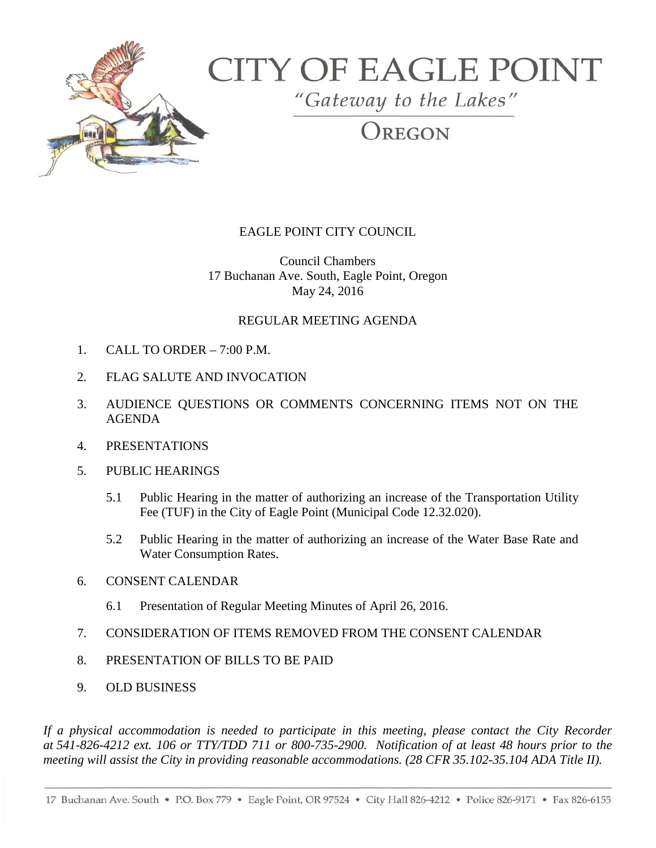

# **CITY OF EAGLE POINT**

"Gateway to the Lakes"

# OREGON

# EAGLE POINT CITY COUNCIL

Council Chambers 17 Buchanan Ave. South, Eagle Point, Oregon May 24, 2016

## REGULAR MEETING AGENDA

- 1. CALL TO ORDER  $-7:00$  P.M.
- 2. FLAG SALUTE AND INVOCATION
- 3. AUDIENCE QUESTIONS OR COMMENTS CONCERNING ITEMS NOT ON THE AGENDA
- 4. PRESENTATIONS
- 5. PUBLIC HEARINGS
	- 5.1 Public Hearing in the matter of authorizing an increase of the Transportation Utility Fee (TUF) in the City of Eagle Point (Municipal Code 12.32.020).
	- 5.2 Public Hearing in the matter of authorizing an increase of the Water Base Rate and Water Consumption Rates.
- 6. CONSENT CALENDAR
	- 6.1 Presentation of Regular Meeting Minutes of April 26, 2016.
- 7. CONSIDERATION OF ITEMS REMOVED FROM THE CONSENT CALENDAR
- 8. PRESENTATION OF BILLS TO BE PAID
- 9. OLD BUSINESS

*If a physical accommodation is needed to participate in this meeting, please contact the City Recorder at 541-826-4212 ext. 106 or TTY/TDD 711 or 800-735-2900. Notification of at least 48 hours prior to the meeting will assist the City in providing reasonable accommodations. (28 CFR 35.102-35.104 ADA Title II).*